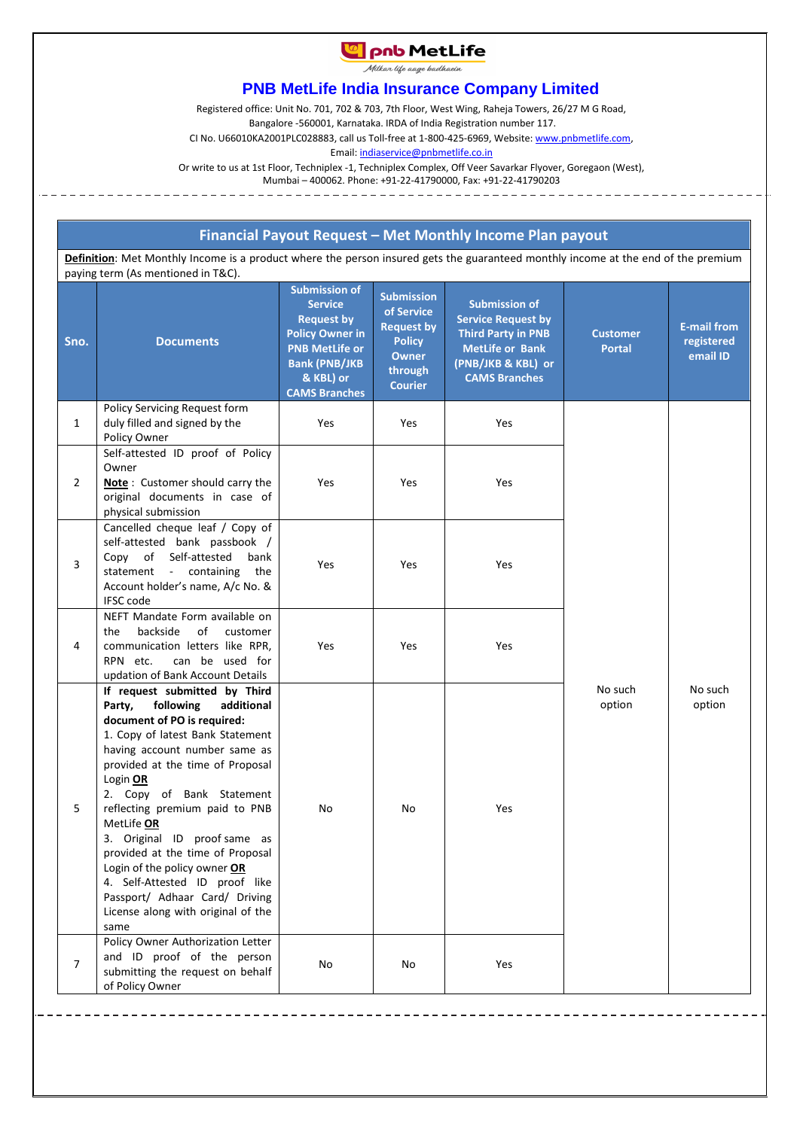# **La pnb MetLife**

Milkar life aage badhaein

## **PNB MetLife India Insurance Company Limited**

Registered office: Unit No. 701, 702 & 703, 7th Floor, West Wing, Raheja Towers, 26/27 M G Road,

Bangalore -560001, Karnataka. IRDA of India Registration number 117.

CI No. U66010KA2001PLC028883, call us Toll-free at 1-800-425-6969, Website[: www.pnbmetlife.com,](http://www.pnbmetlife.com/)

Email[: indiaservice@pnbmetlife.co.in](mailto:indiaservice@pnbmetlife.co.in) 

Or write to us at 1st Floor, Techniplex -1, Techniplex Complex, Off Veer Savarkar Flyover, Goregaon (West), Mumbai – 400062. Phone: +91-22-41790000, Fax: +91-22-41790203

### **Financial Payout Request – Met Monthly Income Plan payout**

**Definition**: Met Monthly Income is a product where the person insured gets the guaranteed monthly income at the end of the premium paying term (As mentioned in T&C).

| Sno.           | <b>Documents</b>                                                                                                                                                                                                                                                                                                                                                                                                                                                                                                          | <b>Submission of</b><br><b>Service</b><br><b>Request by</b><br><b>Policy Owner in</b><br><b>PNB MetLife or</b><br><b>Bank (PNB/JKB</b><br>& KBL) or<br><b>CAMS Branches</b> | <b>Submission</b><br>of Service<br><b>Request by</b><br><b>Policy</b><br><b>Owner</b><br>through<br><b>Courier</b> | <b>Submission of</b><br><b>Service Request by</b><br><b>Third Party in PNB</b><br><b>MetLife or Bank</b><br>(PNB/JKB & KBL) or<br><b>CAMS Branches</b> | <b>Customer</b><br><b>Portal</b> | <b>E-mail from</b><br>registered<br>email ID |
|----------------|---------------------------------------------------------------------------------------------------------------------------------------------------------------------------------------------------------------------------------------------------------------------------------------------------------------------------------------------------------------------------------------------------------------------------------------------------------------------------------------------------------------------------|-----------------------------------------------------------------------------------------------------------------------------------------------------------------------------|--------------------------------------------------------------------------------------------------------------------|--------------------------------------------------------------------------------------------------------------------------------------------------------|----------------------------------|----------------------------------------------|
| $\mathbf{1}$   | Policy Servicing Request form<br>duly filled and signed by the<br>Policy Owner                                                                                                                                                                                                                                                                                                                                                                                                                                            | Yes                                                                                                                                                                         | Yes                                                                                                                | Yes                                                                                                                                                    | No such<br>option                | No such<br>option                            |
| $\overline{2}$ | Self-attested ID proof of Policy<br>Owner<br><b>Note</b> : Customer should carry the<br>original documents in case of<br>physical submission                                                                                                                                                                                                                                                                                                                                                                              | Yes                                                                                                                                                                         | Yes                                                                                                                | Yes                                                                                                                                                    |                                  |                                              |
| 3              | Cancelled cheque leaf / Copy of<br>self-attested bank passbook /<br>Copy of Self-attested<br>bank<br>statement - containing<br>the<br>Account holder's name, A/c No. &<br><b>IFSC</b> code                                                                                                                                                                                                                                                                                                                                | Yes                                                                                                                                                                         | Yes                                                                                                                | Yes                                                                                                                                                    |                                  |                                              |
| 4              | NEFT Mandate Form available on<br>backside<br>οf<br>customer<br>the<br>communication letters like RPR,<br>can be used for<br>RPN etc.<br>updation of Bank Account Details                                                                                                                                                                                                                                                                                                                                                 | Yes                                                                                                                                                                         | Yes                                                                                                                | Yes                                                                                                                                                    |                                  |                                              |
| 5              | If request submitted by Third<br>following<br>additional<br>Party,<br>document of PO is required:<br>1. Copy of latest Bank Statement<br>having account number same as<br>provided at the time of Proposal<br>Login OR<br>2. Copy of Bank Statement<br>reflecting premium paid to PNB<br>MetLife OR<br>3. Original ID proof same as<br>provided at the time of Proposal<br>Login of the policy owner OR<br>4. Self-Attested ID proof like<br>Passport/ Adhaar Card/ Driving<br>License along with original of the<br>same | No                                                                                                                                                                          | No                                                                                                                 | Yes                                                                                                                                                    |                                  |                                              |
| 7              | Policy Owner Authorization Letter<br>and ID proof of the person<br>submitting the request on behalf<br>of Policy Owner                                                                                                                                                                                                                                                                                                                                                                                                    | No                                                                                                                                                                          | No                                                                                                                 | Yes                                                                                                                                                    |                                  |                                              |